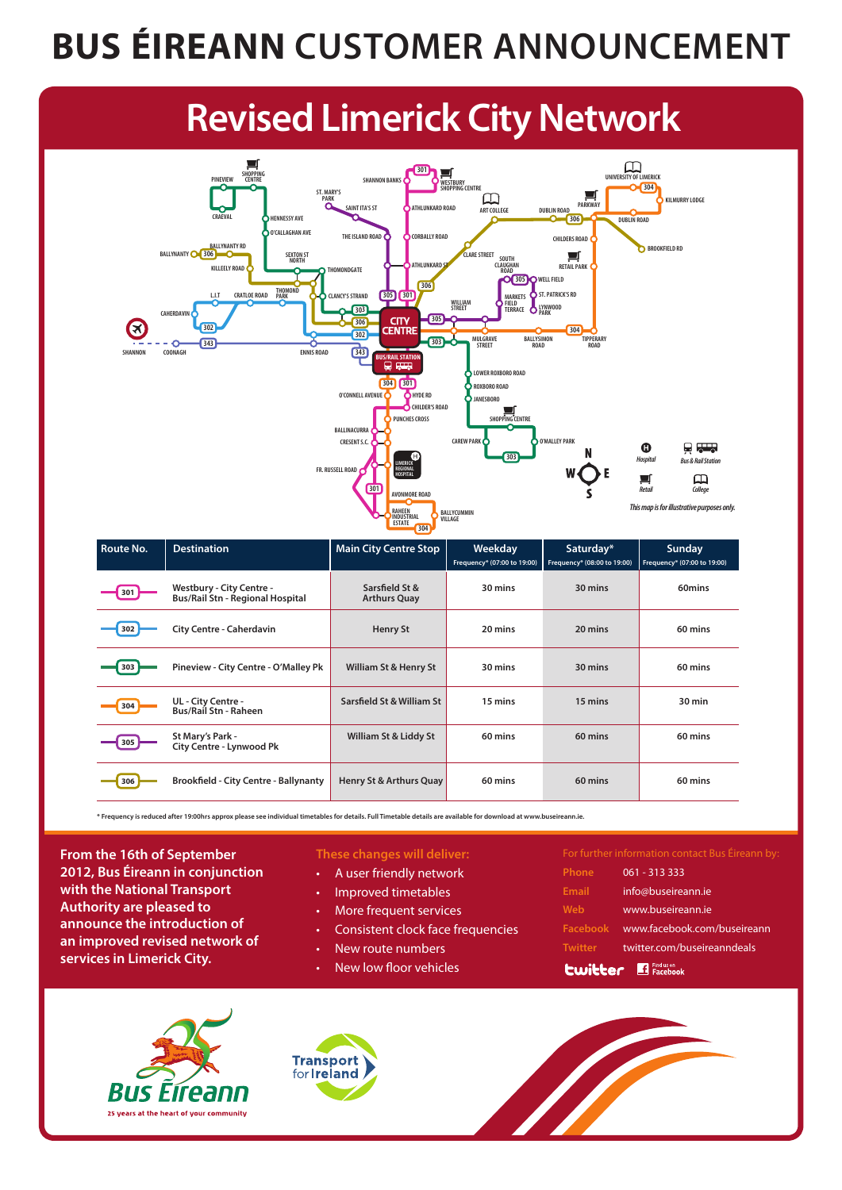#### **BUS ÉIREANN CUSTOMER ANNOUNCEMENT**

# **Revised Limerick City Network**



| Route No. | <b>Destination</b>                                                         | <b>Main City Centre Stop</b>          | Weekday<br>Frequency* (07:00 to 19:00) | Saturday*<br>Frequency* (08:00 to 19:00) | <b>Sunday</b><br>Frequency* (07:00 to 19:00) |
|-----------|----------------------------------------------------------------------------|---------------------------------------|----------------------------------------|------------------------------------------|----------------------------------------------|
| 301       | <b>Westbury - City Centre -</b><br><b>Bus/Rail Stn - Regional Hospital</b> | Sarsfield St &<br><b>Arthurs Quay</b> | 30 mins                                | 30 mins                                  | 60mins                                       |
| 302       | <b>City Centre - Caherdavin</b>                                            | <b>Henry St</b>                       | 20 mins                                | 20 mins                                  | 60 mins                                      |
| 303       | Pineview - City Centre - O'Malley Pk                                       | William St & Henry St                 | 30 mins                                | 30 mins                                  | 60 mins                                      |
| 304       | UL - City Centre -<br><b>Bus/Rail Stn - Raheen</b>                         | Sarsfield St & William St             | 15 mins                                | 15 mins                                  | 30 min                                       |
| 305       | St Mary's Park -<br><b>City Centre - Lynwood Pk</b>                        | William St & Liddy St                 | 60 mins                                | 60 mins                                  | 60 mins                                      |
| 306       | <b>Brookfield - City Centre - Ballynanty</b>                               | Henry St & Arthurs Quay               | 60 mins                                | 60 mins                                  | 60 mins                                      |

**\* Frequency is reduced after 19:00hrs approx please see individual timetables for details. Full Timetable details are available for download at www.buseireann.ie.**

**From the 16th of September 2012, Bus Éireann in conjunction with the National Transport Authority are pleased to announce the introduction of an improved revised network of services in Limerick City.**

#### **These changes will deliver:**

- A user friendly network
- Improved timetables
- More frequent services
- Consistent clock face frequencies
- New route numbers
- New low floor vehicles

For further information contact Bus Éireann by: **Phone** 061 - 313 333 **Email** info@buseireann.ie **Web** www.buseireann.ie **Facebook** www.facebook.com/buseireann

- **Twitter** twitter.com/buseireanndeals
- **Lwitter** Findus on<br>Facebook